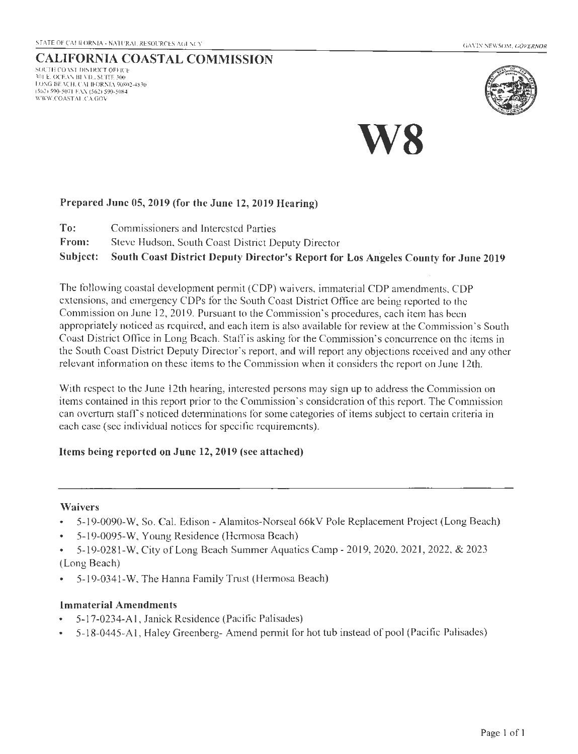#### CALIFORNIA COASTAL COMMISSION SOUTH COAST DISTRICT OFFICE 301 E. OCEAN BLVD., SUITE 300 LONG BEACH. CALIFORNIA 90802-4830 (562) 590-5071 FAX (562) 590-5084 WWW.COASTAL.C A.GOV





## Prepared June 05, 2019 (for the June 12, 2019 Hearing)

- To: Commissioners and Interested Parties
- From: Steve Hudson, South Coast District Deputy Director

Subject: South Coast District Deputy Director's Report for Los Angeles County for June 2019

The following coastal development pennit (CDP) waivers, immaterial CDP amendments, CDP extensions, and emergency CDPs for the South Coast District Office are being reported to the Commission on June 12, 2019. Pursuant to the Commission's procedures, cach item has been appropriately noticed as required, and each item is also avail able for review at the Commission's South Coast District Office in Long Beach. Staff is asking for the Commission's concurrence on the items in the South Coast District Deputy Director's report, and will report any objections received and any other relevant information on these items to the Commission when it considers the repott on June 12th.

With respect to the June 12th hearing, interested persons may sign up to address the Commission on items contained in this report prior to the Commission's consideration of this report. The Commission can overturn staff's noticed determinations for some categories of items subject to certain criteria in each case (see individual notices for specific requirements).

## Items being reported on June 12, 2019 (see attached)

### Waivers

- 5-19-0090-W, So. Cal. Edison Alamitos-Norseal 66kV Pole Replacement Project (Long Beach)
- 5- 19-0095-W, Young Residence (Hermosa Beach)
- 5-19-0281-W, City of Long Beach Summer Aquatics Camp 20 19, 2020, 202 1, 2022, & 2023 (Long Beach)
- 5- 19-0341 -W, The Hanna Family Trust (Hermosa Beach)

## Immaterial Amendments

- 5- 17-0234-A I , Janick Residence (Pacific Palisades)
- 5-18-0445-A1, Haley Greenberg- Amend permit for hot tub instead of pool (Pacific Palisades)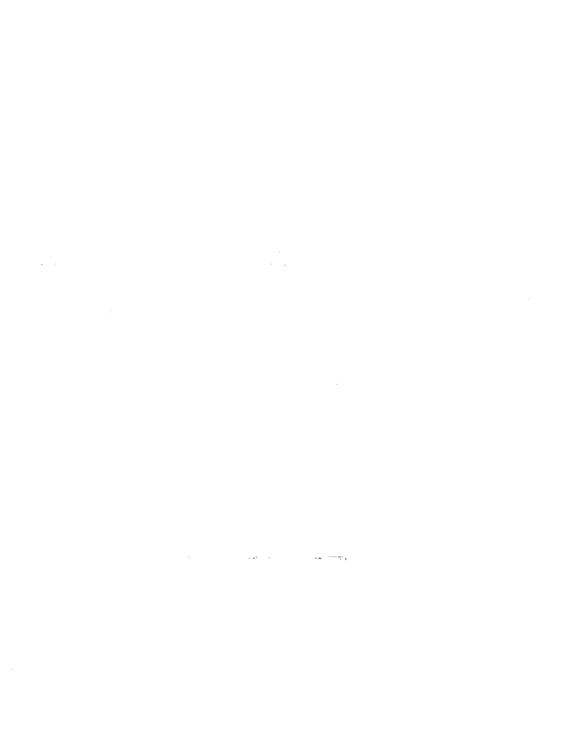$\label{eq:2.1} \frac{1}{\sqrt{2}}\left(\frac{1}{\sqrt{2}}\right)^{2} \left(\frac{1}{\sqrt{2}}\right)^{2} \left(\frac{1}{\sqrt{2}}\right)^{2} \left(\frac{1}{\sqrt{2}}\right)^{2} \left(\frac{1}{\sqrt{2}}\right)^{2} \left(\frac{1}{\sqrt{2}}\right)^{2} \left(\frac{1}{\sqrt{2}}\right)^{2} \left(\frac{1}{\sqrt{2}}\right)^{2} \left(\frac{1}{\sqrt{2}}\right)^{2} \left(\frac{1}{\sqrt{2}}\right)^{2} \left(\frac{1}{\sqrt{2}}\right)^{2} \left(\$ 

 $\mathcal{A}^{\text{max}}_{\text{max}}$ 

 $\label{eq:2.1} \frac{1}{\sqrt{2}}\int_{\mathbb{R}^3}\frac{1}{\sqrt{2}}\left(\frac{1}{\sqrt{2}}\right)^2\frac{1}{\sqrt{2}}\left(\frac{1}{\sqrt{2}}\right)^2\frac{1}{\sqrt{2}}\left(\frac{1}{\sqrt{2}}\right)^2\frac{1}{\sqrt{2}}\left(\frac{1}{\sqrt{2}}\right)^2.$ 

 $\label{eq:2.1} \frac{1}{2} \int_{\mathbb{R}^3} \frac{1}{\sqrt{2}} \, \frac{1}{\sqrt{2}} \, \frac{1}{\sqrt{2}} \, \frac{1}{\sqrt{2}} \, \frac{1}{\sqrt{2}} \, \frac{1}{\sqrt{2}} \, \frac{1}{\sqrt{2}} \, \frac{1}{\sqrt{2}} \, \frac{1}{\sqrt{2}} \, \frac{1}{\sqrt{2}} \, \frac{1}{\sqrt{2}} \, \frac{1}{\sqrt{2}} \, \frac{1}{\sqrt{2}} \, \frac{1}{\sqrt{2}} \, \frac{1}{\sqrt{2}} \, \frac{1}{\sqrt{2}} \,$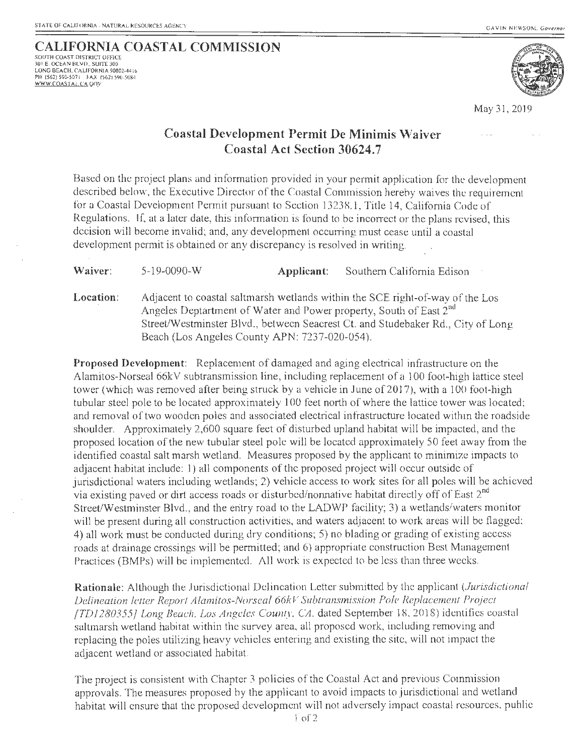#### **CALIFORNIA COASTAL COMMISSION** SOUTH COAST DISTRICT OFFICE 301 E. OCEAN BLVD .. SUITE 300 LONG BEACH. CALIFORNIA 90802-44 16 PH (562) 590-5071 - FAX (562) 590-5084<br><u>WWW.COASTAL.CA.</u>GOV



May 31,2019

# **Coastal Development Permit De Minimis Waiver Coastal Act Section 30624.7**

Based on the project plans and information provided in your permit application for the development described below, the Executive Director of the Coastal Commission hereby waives the requirement for a Coastal Development Permit pursuant to Section 13238. 1, Title 14, California Code of Regulations. If, at a later date, this information is found to be incorrect or the plans revised, this decision will become invalid; and, any development occurring must cease until a coastal development permit is obtained or any discrepancy is resolved in writing.

**Waiver:**  5-19-0090-w **Applicant:** Southern California Edison

**Location:**  Adjacent to coastal saltmarsh wetlands within the SCE right-of-way of the Los Angeles Deptartment of Water and Power property, South of East 2<sup>nd</sup> Street/Westminster Blvd., between Seacrest Ct. and Studebaker Rd., City of Long Beach (Los Angeles County APN: 7237-020-054).

**Proposed Development:** Replacement of damaged and aging electrical infrastructure on the Alamitos-Norseal 66kV subtransmission line, including replacement of a 1 00 foot-high lattice steel tower (which was removed after being struck by a vehicle in June of  $2017$ ), with a 100 foot-high tubular steel pole to be located approximately 100 feet north of where the lattice tower was located; and removal of two wooden poles and associated electrical infrastructure located within the roadside shoulder. Approximately 2,600 square feet of disturbed upland habitat will be impacted, and the proposed location of the new tubular steel pole will be located approximately 50 feet away from the identified coastal salt marsh wetland. Measures proposed by the applicant to minimize impacts to adjacent habitat include: 1) all components of the proposed project will occur outside of jmisdictional waters including wetlands; 2) vehicle access to work sites for all poles will be achieved via existing paved or dirt access roads or disturbed/nonnative habitat directly off of East 2<sup>nd</sup> Street/Westminster Blvd., and the entry road to the LADWP facility; 3) a wetlands/waters monitor will be present during all construction activities, and waters adjacent to work areas will be flagged; 4) all work must be conducted during dry conditions; 5) no blading or grading of existing access roads at drainage crossings will be permitted; and 6) appropriate construction Best Management Practices (BMPs) will be implemented. All work is expected to be less than three weeks.

**Rationale:** Although the Jurisdictional Delineation Letter submitted by the applicant *(Jurisdictional*) *Delineation Letter Report Alamitos-Norseal 66/cV Subtransmission Pole Replacement Project (TDJ 280355} Long Beach, Los Angeles County, CA.* dated September 18, 2018) identifies coastal saltmarsh wetland habitat within the survey area, all proposed work, including removing and replacing the poles utilizing heavy vehicles entering and existing the site, will not impact the adjacent wetland or associated habitat.

The project is consistent with Chapter 3 policies of the Coastal Act and previous Commission approvals. The measures proposed by the applicant to avoid impacts to jurisdictional and wetland habitat will ensure that the proposed development will not adversely impact coastal resources, public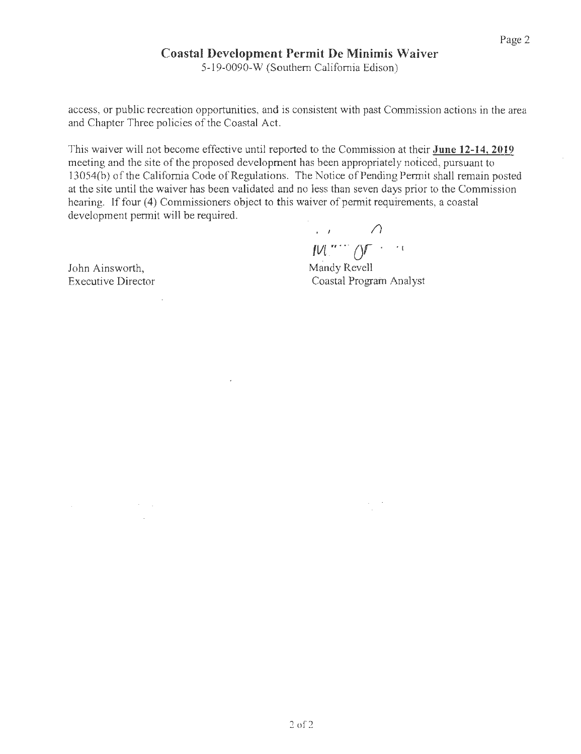# **Coastal Development Permit De Minimis Waiver**

5-19-0090-W (Southern California Edison)

access, or public recreation opportunities, and is consistent with past Commission actions in the area and Chapter Three policies of the Coastal Act.

This waiver will not become effective until reported to the Commission at their **June 12-14, 2019**  meeting and the site of the proposed development has been appropriately noticed, pursuant to 13054(b) of the California Code of Regulations. The Notice of Pending Permit shall remain posted at the site until the waiver has been validated and no less than seven days prior to the Commission hearing. If four (4) Commissioners object to this waiver of permit requirements, a coastal development permit will be required.

John Ainsworth, Executive Director

 $\sim 10^7$ 

 $\mathcal{L}$   $\mathcal{L}$ 

*{Vl." .*.. Qr . . (

Mandy Revell Coastal Program Analyst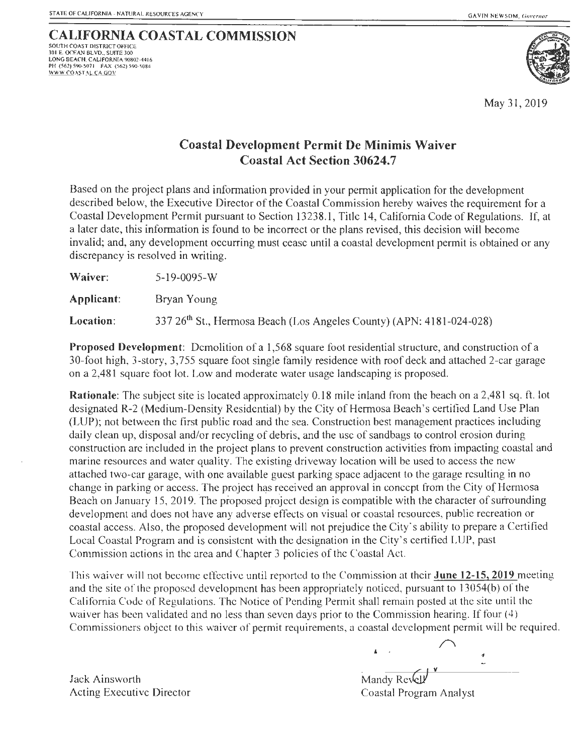

May 31,2019

# **Coastal Development Permit De Minimis Waiver Coastal Act Section 30624.7**

Based on the project plans and information provided in your permit application for the development described below, the Executive Director of the Coastal Commission hereby waives the requirement for a Coastal Development Permit pursuant to Section 13238.1 , Title 14, California Code of Regulations. If, at a later date, this information is found to be incorrect or the plans revised, this decision will become invalid; and, any development occurring must cease until a coastal development permit is obtained or any discrepancy is resolved in writing.

**Waiver:** 5-19-0095-w

**Applicant:** Bryan Young

Location: 337 26<sup>th</sup> St., Hermosa Beach (Los Angeles County) (APN: 4181-024-028)

Proposed Development: Demolition of a 1,568 square foot residential structure, and construction of a 30-foot high, 3-story, 3, 755 square foot single family residence with roof deck and attached 2-car garage on a 2,48 1 square foot lot. Low and moderate water usage landscaping is proposed.

**Rationale:** The subject site is located approximately 0.18 mile inland from the beach on a 2,481 sq. ft. lot designated R-2 (Medium-Density Residential) by the City of Hermosa Beach's certified Land Use Plan (LUP); not between the first public road and the sea. Construction best management practices including daily clean up, disposal and/or recycling of debris, and the use of sandbags to control erosion during construction are included in the project plans to prevent construction activities from impacting coastal and marine resources and water quality. The existing driveway location will be used to access the new attached two-car garage, with one available guest parking space adjacent to the garage resulting in no change in parking or access. The project has received an approval in concept from the City of Hermosa Beach on January 15, 2019. The proposed project design is compatible with the character of surrounding development and does not have any adverse effects on visual or coastal resources, public recreation or coastal access. Also, the proposed development will not prejudice the City's ability to prepare a Certified Local Coastal Program and is consistent with the designation in the City's certified LUP, past Commission actions in the area and Chapter 3 policies of the Coastal Act.

This waiver will not become effective until reported to the Commission at their June 12-15, 2019 meeting and the site of the proposed development has been appropriately noticed, pursuant to 13054(b) of the California Code of Regulations. The Notice of Pending Permit shall remain posted at the site until the waiver has been validated and no less than seven days prior to the Commission hearing. If four ( 4) Commissioners object to this waiver of permit requirements, a coastal development permit will be required. /\

'  $\overline{4}$ 

Jack Ainsworth Mandy Revell<sup>1</sup> Acting Executive Director **Coastal Program Analyst** Coastal Program Analyst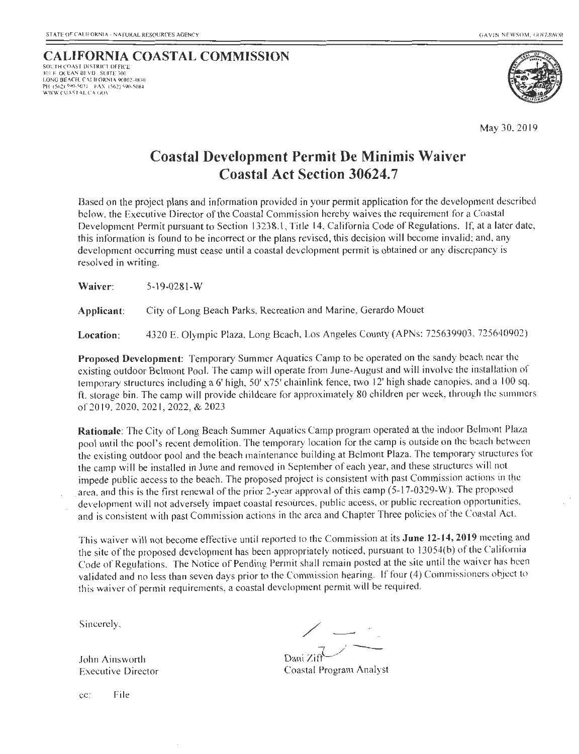### **CALIFORNIA COASTAL COMMISSION** 301 E OCEAN BI VD., SUITE 300 LONG BEACH, CALIFORNIA 90802-4830<br>PH (562) 590-5071 - FAX (562) 590-5084 V.WW COASTAL CA GO\'



May 30, 20 19

# **Coastal Development Permit De Minimis Waiver Coastal Act Section 30624.7**

Based on the project plans and information provided in your permit application for the development described below, the Executive Director of the Coastal Commission hereby waives the requirement for a Coastal Development Permit pursuant to Section 1323 8. I, Title 14, California Code of Regulations. If, at a later date, this information is found to be incorrect or the plans revised, this decision will become invalid; and, any development occurring must cease until a coastal development permit is obtained or any discrepancy is resolved in writing.

**Waiver:** 5- 19-0281 -W

**Applicant:** City of Long Beach Parks, Recreation and Marine, Gerardo Mouet

**Location:** 4320 E. Olympic Plaza, Long Beach, Los Angeles County (APNs: 725639903. 725640902)

**Proposed Development:** Temporary Summer Aquatics Camp to be operated on the sandy beach near the existing outdoor Belmont Pool. The camp will operate from June-August and will involve the installation of temporary structures including a 6' high, 50' x75' chainlink fence, two 12' high shade canopies, and a I 00 sq. ft. storage bin. The camp will provide childcare for approximately 80 children per week, through the summers of 2019, 2020, 2021, 2022, & 2023

**Rationale:** The City of Long Beach Summer Aquatics Camp program operated at the indoor Belmont Plaza pool until the pool's recent demolition. The temporary location for the camp is outside on the beach between the existing outdoor pool and the beach maintenance building at Belmont Plaza. The temporary tructures for the camp will be installed in June and removed in September of each year, and these structures will not impede public access to the beach. The proposed project is consistent with past Commission actions in the area, and this is the first renewal of the prior 2-year approval of this eamp (5-17-0329-W). The proposed development will not adversely impact coastal resources, public access, or public recreation opportunities, and is consistent with past Commission actions in the area and Chapter Three policies of the Coastal Act.

This waiver will not become effective until reported to the Commission at its **June 12-14, 2019** meeting and the site of the proposed development has been appropriately noticed, pursuant to 13054(b) of the California Code of Regulations. The Notice of Pending Permit shall remain posted at the site until the waiver has been validated and no less than seven days prior to the Commission hearing. If four (4) Commissioners object to this waiver of permit requirements, a coastal development permit will be required.

Sincerely,

John Ainsworth Executive Director

/

Coastal Program Analyst

cc: File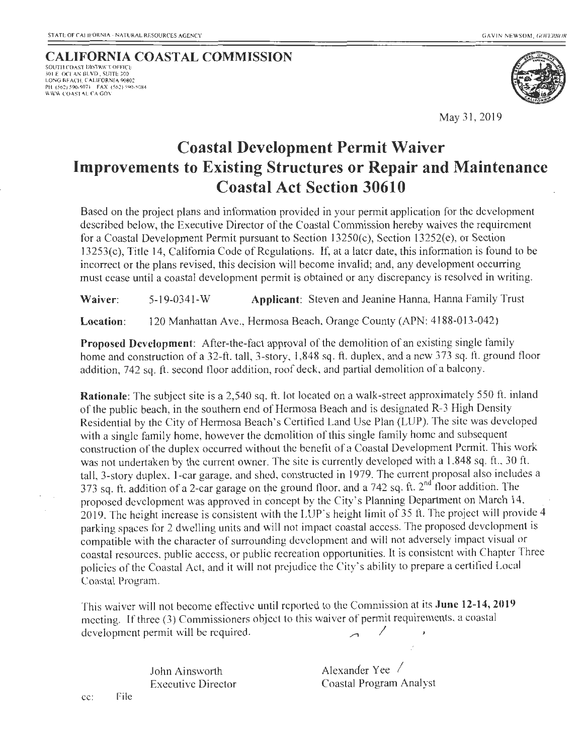#### **CALIFORNIA COASTAL COMMISSION** SOUTH COAST DISTRICT OFFICE 301 E OCEAN BLVD, SUITE 300

LONG BFACH, CALIFORNIA 90802 PH (562) 590-5071 FAX (562) 590-5084 WWW COASTAL CA GON



May 31, 2019

# **Coastal Development Permit Waiver Improvements to Existing Structures or Repair and Maintenance Coastal Act Section 30610**

Based on the project plans and information provided in your permit application for the development described below, the Executive Director of the Coastal Commission hereby waives the requirement for a Coastal Development Permit pursuant to Section 13250(c), Section 13252(e), or Section 13253(c), Title 14, California Code of Regulations. If, at a later date, this information is found to be incorrect or the plans revised, this decision will become invalid; and, any development occurring must cease until a coastal development permit is obtained or any discrepancy is resolved in writing.

Waiver: 5-19-0341-W **Applicant**: Steven and Jeanine Hanna, Hanna Family Trust

**Location:** 120 Manhattan Ave., Hermosa Beach, Orange County (APN: 4188-013-042)

**Proposed Development:** After-the-fact approval of the demolition of an existing single family home and construction of a 32-ft. tall, 3-story, 1,848 sq. ft. duplex, and a new 373 sq. ft. ground floor addition, 742 sq. ft. second floor addition, roof deck, and partial demolition of a balcony.

**Rationale:** The subject site is a 2,540 sq. ft. lot located on a walk-street approximately 550 ft. inland of the public beach, in the southern end of Hermosa Beach and is designated R-3 High Density Residential by the City of Hermosa Beach's Certified Land Use Plan (LUP). The site was developed with a single family home, however the demolition of this single family home and subsequent construction of the duplex occurred without the benefit of a Coastal Development Permit. This work was not undertaken by the current owner. The site is currently developed with a 1.848 sq. ft., 30 ft. tall, 3-story duplex, l-ear garage, and shed, constructed in 1979. The current proposal also includes a 373 sq. ft. addition of a 2-car garage on the ground floor, and a 742 sq. ft. 2<sup>nd</sup> floor addition. The proposed development was approved in concept by the City's Planning Department on March 14, 2019. The height increase is consistent with the LUP's height limit of 35 ft. The project will provide 4 parking spaces for 2 dwelling units and will not impact coastal access. The proposed development is compatible with the character of surrounding development and will not adversely impact visual or coastal resources, public access, or public recreation opportunities. lt is consistent with Chapter Three policies of the Coastal Act, and it will not prejudice the City's ability to prepare a certified Local Coastal Program.

This waiver will not become effective until reported to the Commission at its **June 12-14,2019**  meeting. If three (3) Commissioners object to this waiver of permit requirements, a coastal development permit will be required.

> John Ainsworth Executive Director

Alexander Yee / Coastal Program Analyst

cc: File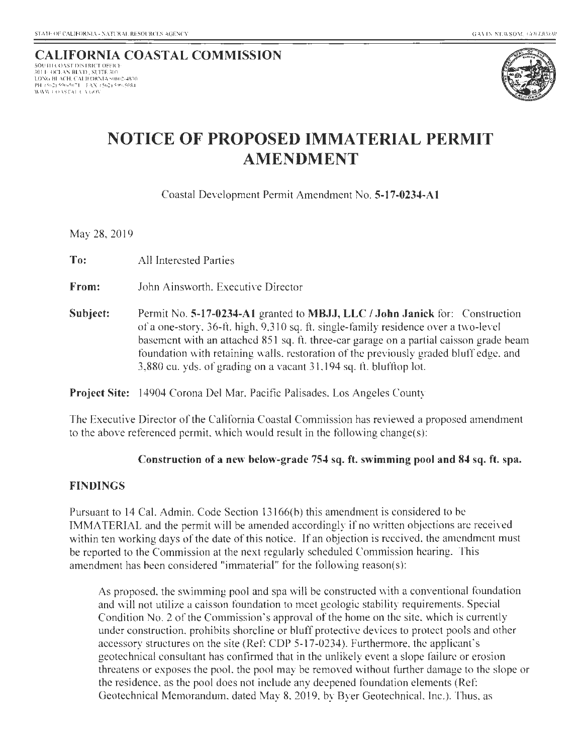### **CALIFORNIA COASTAL COMMISSION** SOUTH COAST DISTRICT OFFICE *30* I ~ OCEAN BL I'D , SLI ITE 300 LONG 131 ·ICH. CALI FUR'IIA 90802--1810 PH (~562) S90-\$071 - FAX (~562) S90-\$084<br>WWW.COASTAL CA GOV



# **NOTICE OF PROPOSED IMMATERIAL PERMIT AMENDMENT**

Coastal Development Permit Amendment No. 5-17-0234-A1

May 28,2019

**To:** All Interested Parties

**From:** John Ainsworth. Executive Director

**Subject:** Permit No. **5-17-0234-Al** granted to **MBJJ, LLC I John Janick** for: Construction of a one-story. 36-ft. high, 9,310 sq. ft. single-family residence over a two-level basement with an attached 851 sq. ft. three-car garage on a partial caisson grade beam foundation with retaining walls, restoration of the previously graded bluff edge, and 3,880 cu. yds. of grading on a vacant 3 1, 194 sq. ft. blufftop lot.

**Project Site:** 14904 Corona Del Mar, Pacific Palisades. Los Angeles County

The Executive Director of the California Coastal Commission has reviewed a proposed amendment to the above referenced permit, which would result in the following change(s):

## **Construction of a new below-grade 754** sq. **ft. swimming pool and 84** sq. **ft. spa.**

## **FINDINGS**

Pursuant to 14 Cal. Admin. Code Section 13 166(b) this amendment is considered to be IMMATERIAL and the permit will be amended accordingly if no written objections are received within ten working days of the date of this notice. If an objection is received, the amendment must be reported to the Commission at the next regularly scheduled Commission hearing. This amendment has been considered "immaterial" for the following reason(s):

As proposed, the swimming pool and spa will be constructed with a conventional foundation and will not utilize a caisson foundation to meet geologic stability requirements. Special Condition No.2 of the Commission's approval of the home on the site. which is currently under construction. prohibits shoreline or bluff protective devices to protect pools and other accessory structures on the site (Ref: CDP 5-17-0234). Furthermore, the applicant's geotechnical consultant has confirmed that in the unlikely event a slope failure or erosion threatens or exposes the pool, the pool may be removed without further damage to the slope or the residence, as the pool does not include any deepened foundation elements (Ref: Geotechnical Memorandum, dated May 8, 2019, by Byer Geotechnical, Inc.). Thus, as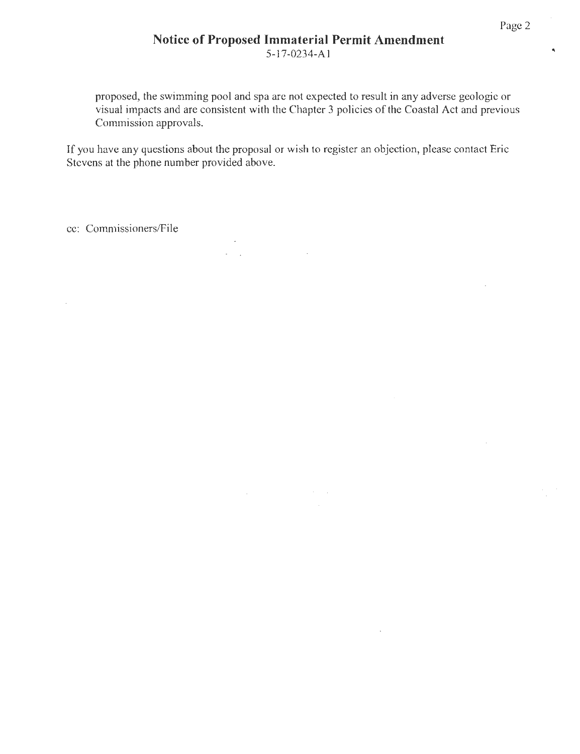# **Notice of Proposed Immaterial Permit Amendment**

5-1 7-0234-Al

proposed, the swimming pool and spa are not expected to result in any adverse geologic or visual impacts and are consistent with the Chapter 3 policies of the Coastal Act and previous Commission approvals.

If you have any questions about the proposal or wish to register an objection, please contact Eric Stevens at the phone number provided above.

 $\mathcal{L}_{\text{max}}$  and  $\mathcal{L}_{\text{max}}$  and  $\mathcal{L}_{\text{max}}$  and  $\mathcal{L}_{\text{max}}$ 

 $\sim 10^{-1}$ 

 $\bar{z}$ 

cc: Commissioners/File

 $\mathcal{L}$ 

..